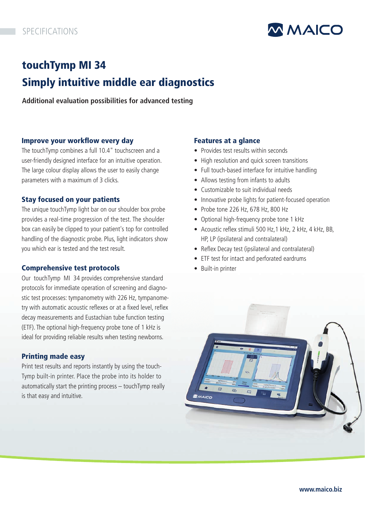

# touchTymp MI 34 Simply intuitive middle ear diagnostics

**Additional evaluation possibilities for advanced testing**

## Improve your workflow every day

The touchTymp combines a full 10.4" touchscreen and a user-friendly designed interface for an intuitive operation. The large colour display allows the user to easily change parameters with a maximum of 3 clicks.

## Stay focused on your patients

The unique touchTymp light bar on our shoulder box probe provides a real-time progression of the test. The shoulder box can easily be clipped to your patient's top for controlled handling of the diagnostic probe. Plus, light indicators show you which ear is tested and the test result.

## Comprehensive test protocols

Our touchTymp MI 34 provides comprehensive standard protocols for immediate operation of screening and diagnostic test processes: tympanometry with 226 Hz, tympanometry with automatic acoustic reflexes or at a fixed level, reflex decay measurements and Eustachian tube function testing (ETF). The optional high-frequency probe tone of 1 kHz is ideal for providing reliable results when testing newborns.

## Printing made easy

Print test results and reports instantly by using the touch-Tymp built-in printer. Place the probe into its holder to automatically start the printing process – touchTymp really is that easy and intuitive.

## Features at a glance

- Provides test results within seconds
- High resolution and quick screen transitions
- Full touch-based interface for intuitive handling
- Allows testing from infants to adults
- Customizable to suit individual needs
- Innovative probe lights for patient-focused operation
- Probe tone 226 Hz, 678 Hz, 800 Hz
- Optional high-frequency probe tone 1 kHz
- Acoustic reflex stimuli 500 Hz, 1 kHz, 2 kHz, 4 kHz, BB, HP, LP (ipsilateral and contralateral)
- Reflex Decay test (ipsilateral and contralateral)
- ETF test for intact and perforated eardrums
- Built-in printer